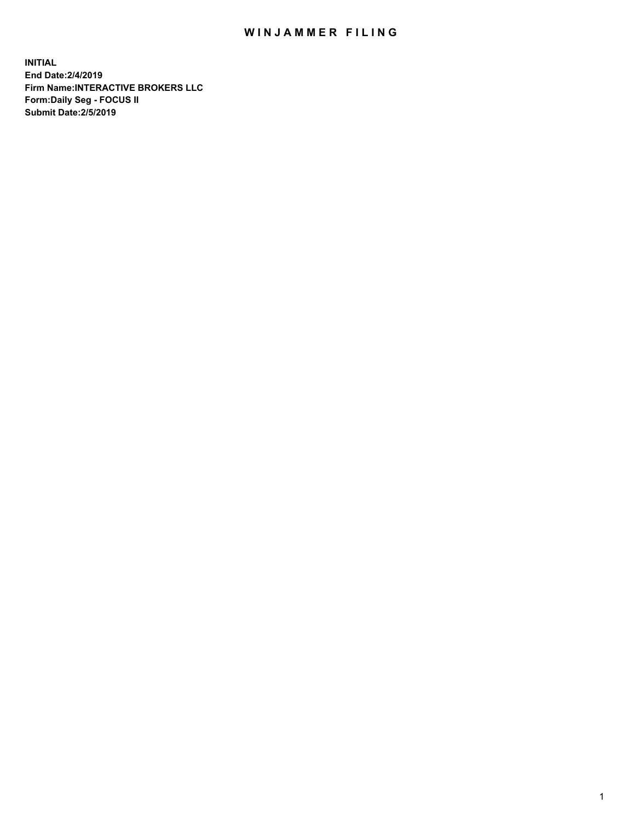## WIN JAMMER FILING

**INITIAL End Date:2/4/2019 Firm Name:INTERACTIVE BROKERS LLC Form:Daily Seg - FOCUS II Submit Date:2/5/2019**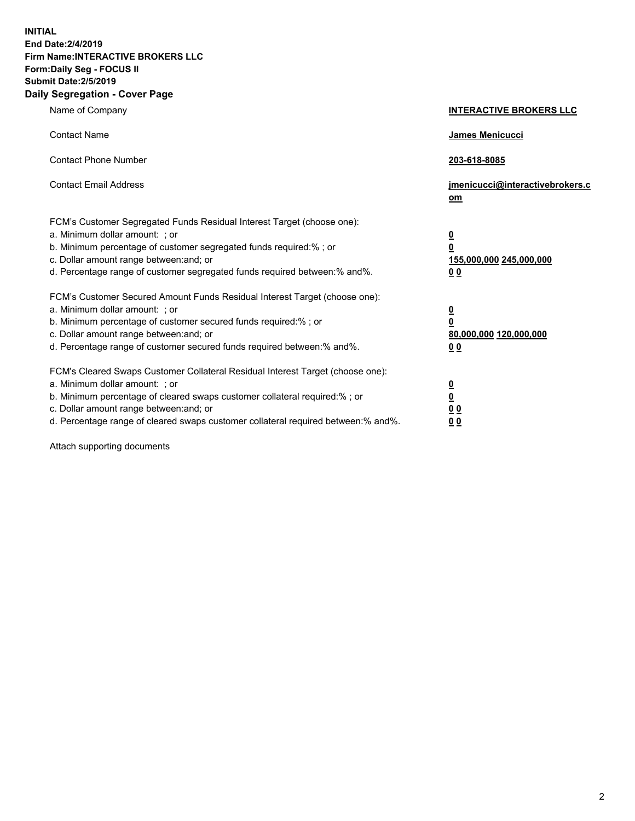**INITIAL End Date:2/4/2019 Firm Name:INTERACTIVE BROKERS LLC Form:Daily Seg - FOCUS II Submit Date:2/5/2019 Daily Segregation - Cover Page**

| Name of Company                                                                                                                                                                                                                                                                                                                | <b>INTERACTIVE BROKERS LLC</b>                                                      |
|--------------------------------------------------------------------------------------------------------------------------------------------------------------------------------------------------------------------------------------------------------------------------------------------------------------------------------|-------------------------------------------------------------------------------------|
| <b>Contact Name</b>                                                                                                                                                                                                                                                                                                            | James Menicucci                                                                     |
| <b>Contact Phone Number</b>                                                                                                                                                                                                                                                                                                    | 203-618-8085                                                                        |
| <b>Contact Email Address</b>                                                                                                                                                                                                                                                                                                   | jmenicucci@interactivebrokers.c<br>om                                               |
| FCM's Customer Segregated Funds Residual Interest Target (choose one):<br>a. Minimum dollar amount: ; or<br>b. Minimum percentage of customer segregated funds required:% ; or<br>c. Dollar amount range between: and; or<br>d. Percentage range of customer segregated funds required between:% and%.                         | $\overline{\mathbf{0}}$<br>$\overline{\mathbf{0}}$<br>155,000,000 245,000,000<br>00 |
| FCM's Customer Secured Amount Funds Residual Interest Target (choose one):<br>a. Minimum dollar amount: ; or<br>b. Minimum percentage of customer secured funds required:% ; or<br>c. Dollar amount range between: and; or<br>d. Percentage range of customer secured funds required between:% and%.                           | $\overline{\mathbf{0}}$<br>$\pmb{0}$<br>80,000,000 120,000,000<br>00                |
| FCM's Cleared Swaps Customer Collateral Residual Interest Target (choose one):<br>a. Minimum dollar amount: ; or<br>b. Minimum percentage of cleared swaps customer collateral required:% ; or<br>c. Dollar amount range between: and; or<br>d. Percentage range of cleared swaps customer collateral required between:% and%. | $\overline{\mathbf{0}}$<br>$\underline{\mathbf{0}}$<br>0 <sub>0</sub><br>00         |

Attach supporting documents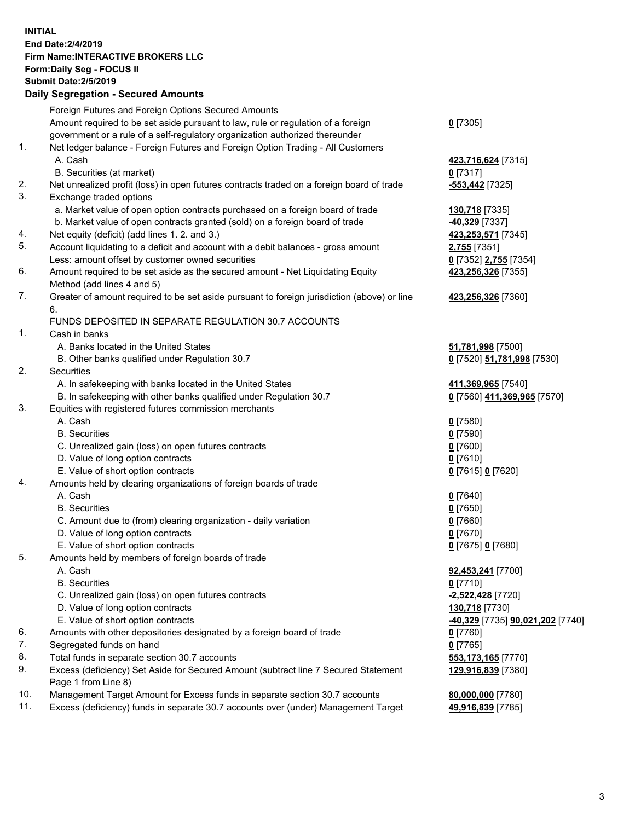## **INITIAL End Date:2/4/2019 Firm Name:INTERACTIVE BROKERS LLC Form:Daily Seg - FOCUS II Submit Date:2/5/2019 Daily Segregation - Secured Amounts**

|     | Pany Obyroganon Oboaroa Annoann                                                                              |                                                      |
|-----|--------------------------------------------------------------------------------------------------------------|------------------------------------------------------|
|     | Foreign Futures and Foreign Options Secured Amounts                                                          |                                                      |
|     | Amount required to be set aside pursuant to law, rule or regulation of a foreign                             | $0$ [7305]                                           |
|     | government or a rule of a self-regulatory organization authorized thereunder                                 |                                                      |
| 1.  | Net ledger balance - Foreign Futures and Foreign Option Trading - All Customers                              |                                                      |
|     | A. Cash                                                                                                      | 423,716,624 [7315]                                   |
|     | B. Securities (at market)                                                                                    | $0$ [7317]                                           |
| 2.  | Net unrealized profit (loss) in open futures contracts traded on a foreign board of trade                    | -553,442 <sub>[7325]</sub>                           |
| 3.  | Exchange traded options                                                                                      |                                                      |
|     | a. Market value of open option contracts purchased on a foreign board of trade                               | 130,718 [7335]                                       |
|     | b. Market value of open contracts granted (sold) on a foreign board of trade                                 | -40,329 [7337]                                       |
| 4.  | Net equity (deficit) (add lines 1. 2. and 3.)                                                                | 423,253,571 [7345]                                   |
| 5.  | Account liquidating to a deficit and account with a debit balances - gross amount                            | 2,755 [7351]                                         |
| 6.  | Less: amount offset by customer owned securities                                                             | 0 [7352] 2,755 [7354]                                |
|     | Amount required to be set aside as the secured amount - Net Liquidating Equity<br>Method (add lines 4 and 5) | 423,256,326 [7355]                                   |
| 7.  | Greater of amount required to be set aside pursuant to foreign jurisdiction (above) or line                  | 423,256,326 [7360]                                   |
|     | 6.                                                                                                           |                                                      |
|     | FUNDS DEPOSITED IN SEPARATE REGULATION 30.7 ACCOUNTS                                                         |                                                      |
| 1.  | Cash in banks                                                                                                |                                                      |
|     | A. Banks located in the United States                                                                        | 51,781,998 [7500]                                    |
|     | B. Other banks qualified under Regulation 30.7                                                               | 0 [7520] 51,781,998 [7530]                           |
| 2.  | Securities                                                                                                   |                                                      |
|     | A. In safekeeping with banks located in the United States                                                    | 411,369,965 [7540]                                   |
|     | B. In safekeeping with other banks qualified under Regulation 30.7                                           | 0 [7560] 411,369,965 [7570]                          |
| 3.  | Equities with registered futures commission merchants                                                        |                                                      |
|     | A. Cash                                                                                                      | $0$ [7580]                                           |
|     | <b>B.</b> Securities                                                                                         | $0$ [7590]                                           |
|     | C. Unrealized gain (loss) on open futures contracts                                                          | $0$ [7600]                                           |
|     | D. Value of long option contracts                                                                            | $0$ [7610]                                           |
|     | E. Value of short option contracts                                                                           | 0 [7615] 0 [7620]                                    |
| 4.  | Amounts held by clearing organizations of foreign boards of trade                                            |                                                      |
|     | A. Cash                                                                                                      | $0$ [7640]                                           |
|     | <b>B.</b> Securities                                                                                         | $0$ [7650]                                           |
|     | C. Amount due to (from) clearing organization - daily variation                                              | $0$ [7660]                                           |
|     | D. Value of long option contracts                                                                            | $0$ [7670]                                           |
|     | E. Value of short option contracts                                                                           | 0 [7675] 0 [7680]                                    |
| 5.  | Amounts held by members of foreign boards of trade                                                           |                                                      |
|     | A. Cash                                                                                                      | 92,453,241 [7700]                                    |
|     | <b>B.</b> Securities                                                                                         | $0$ [7710]                                           |
|     | C. Unrealized gain (loss) on open futures contracts                                                          | -2,522,428 [7720]                                    |
|     | D. Value of long option contracts                                                                            | 130,718 [7730]                                       |
| 6.  | E. Value of short option contracts                                                                           | <mark>-40,329</mark> [7735] <b>90,021,202</b> [7740] |
| 7.  | Amounts with other depositories designated by a foreign board of trade<br>Segregated funds on hand           | $0$ [7760]                                           |
| 8.  | Total funds in separate section 30.7 accounts                                                                | $0$ [7765]                                           |
| 9.  | Excess (deficiency) Set Aside for Secured Amount (subtract line 7 Secured Statement                          | 553,173,165 [7770]<br>129,916,839 [7380]             |
|     | Page 1 from Line 8)                                                                                          |                                                      |
| 10. | Management Target Amount for Excess funds in separate section 30.7 accounts                                  | 80,000,000 [7780]                                    |
| 11. | Excess (deficiency) funds in separate 30.7 accounts over (under) Management Target                           | 49,916,839 [7785]                                    |
|     |                                                                                                              |                                                      |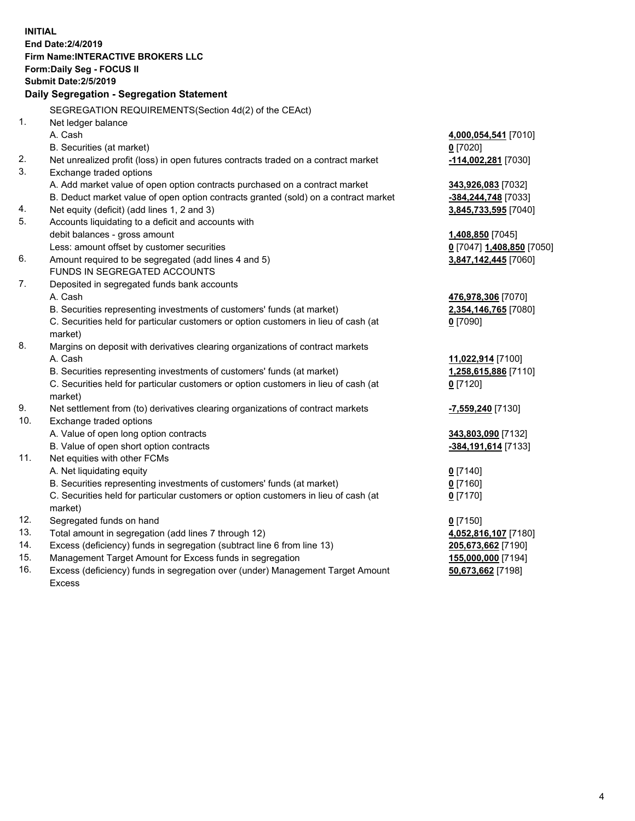|            | <b>INITIAL</b>                                                                                                                      |                                |
|------------|-------------------------------------------------------------------------------------------------------------------------------------|--------------------------------|
|            | End Date: 2/4/2019                                                                                                                  |                                |
|            | <b>Firm Name:INTERACTIVE BROKERS LLC</b>                                                                                            |                                |
|            | Form: Daily Seg - FOCUS II                                                                                                          |                                |
|            | <b>Submit Date: 2/5/2019</b>                                                                                                        |                                |
|            | Daily Segregation - Segregation Statement                                                                                           |                                |
|            | SEGREGATION REQUIREMENTS(Section 4d(2) of the CEAct)                                                                                |                                |
| 1.         | Net ledger balance                                                                                                                  |                                |
|            | A. Cash                                                                                                                             | 4,000,054,541 [7010]           |
|            | B. Securities (at market)                                                                                                           | $0$ [7020]                     |
| 2.         | Net unrealized profit (loss) in open futures contracts traded on a contract market                                                  | 114,002,281 [7030]             |
| 3.         | Exchange traded options                                                                                                             |                                |
|            | A. Add market value of open option contracts purchased on a contract market                                                         | 343,926,083 [7032]             |
|            | B. Deduct market value of open option contracts granted (sold) on a contract market                                                 | -384,244,748 [7033]            |
| 4.         | Net equity (deficit) (add lines 1, 2 and 3)                                                                                         | 3,845,733,595 [7040]           |
| 5.         | Accounts liquidating to a deficit and accounts with                                                                                 |                                |
|            | debit balances - gross amount                                                                                                       | 1,408,850 [7045]               |
|            | Less: amount offset by customer securities                                                                                          | 0 [7047] 1,408,850 [7050]      |
| 6.         | Amount required to be segregated (add lines 4 and 5)                                                                                | 3,847,142,445 [7060]           |
|            | FUNDS IN SEGREGATED ACCOUNTS                                                                                                        |                                |
| 7.         | Deposited in segregated funds bank accounts                                                                                         |                                |
|            | A. Cash                                                                                                                             | 476,978,306 [7070]             |
|            | B. Securities representing investments of customers' funds (at market)                                                              | 2,354,146,765 [7080]           |
|            | C. Securities held for particular customers or option customers in lieu of cash (at                                                 | $0$ [7090]                     |
|            | market)                                                                                                                             |                                |
| 8.         | Margins on deposit with derivatives clearing organizations of contract markets                                                      |                                |
|            | A. Cash                                                                                                                             | 11,022,914 [7100]              |
|            | B. Securities representing investments of customers' funds (at market)                                                              | 1,258,615,886 [7110]           |
|            | C. Securities held for particular customers or option customers in lieu of cash (at                                                 | $0$ [7120]                     |
|            | market)                                                                                                                             |                                |
| 9.         | Net settlement from (to) derivatives clearing organizations of contract markets                                                     | <mark>-7,559,240</mark> [7130] |
| 10.        | Exchange traded options                                                                                                             |                                |
|            | A. Value of open long option contracts                                                                                              | 343,803,090 [7132]             |
|            | B. Value of open short option contracts                                                                                             | -384,191,614 [7133]            |
| 11.        | Net equities with other FCMs                                                                                                        |                                |
|            | A. Net liquidating equity                                                                                                           | $0$ [7140]                     |
|            | B. Securities representing investments of customers' funds (at market)                                                              | $0$ [7160]                     |
|            | C. Securities held for particular customers or option customers in lieu of cash (at                                                 | $0$ [7170]                     |
|            | market)                                                                                                                             |                                |
| 12.        | Segregated funds on hand                                                                                                            | $0$ [7150]                     |
| 13.<br>14. | Total amount in segregation (add lines 7 through 12)                                                                                | 4,052,816,107 [7180]           |
| 15.        | Excess (deficiency) funds in segregation (subtract line 6 from line 13)<br>Management Target Amount for Excess funds in segregation | 205,673,662 [7190]             |
| 16.        | Excess (deficiency) funds in segregation over (under) Management Target Amount                                                      | 155,000,000 [7194]             |
|            |                                                                                                                                     | 50,673,662 [7198]              |

16. Excess (deficiency) funds in segregation over (under) Management Target Amount Excess